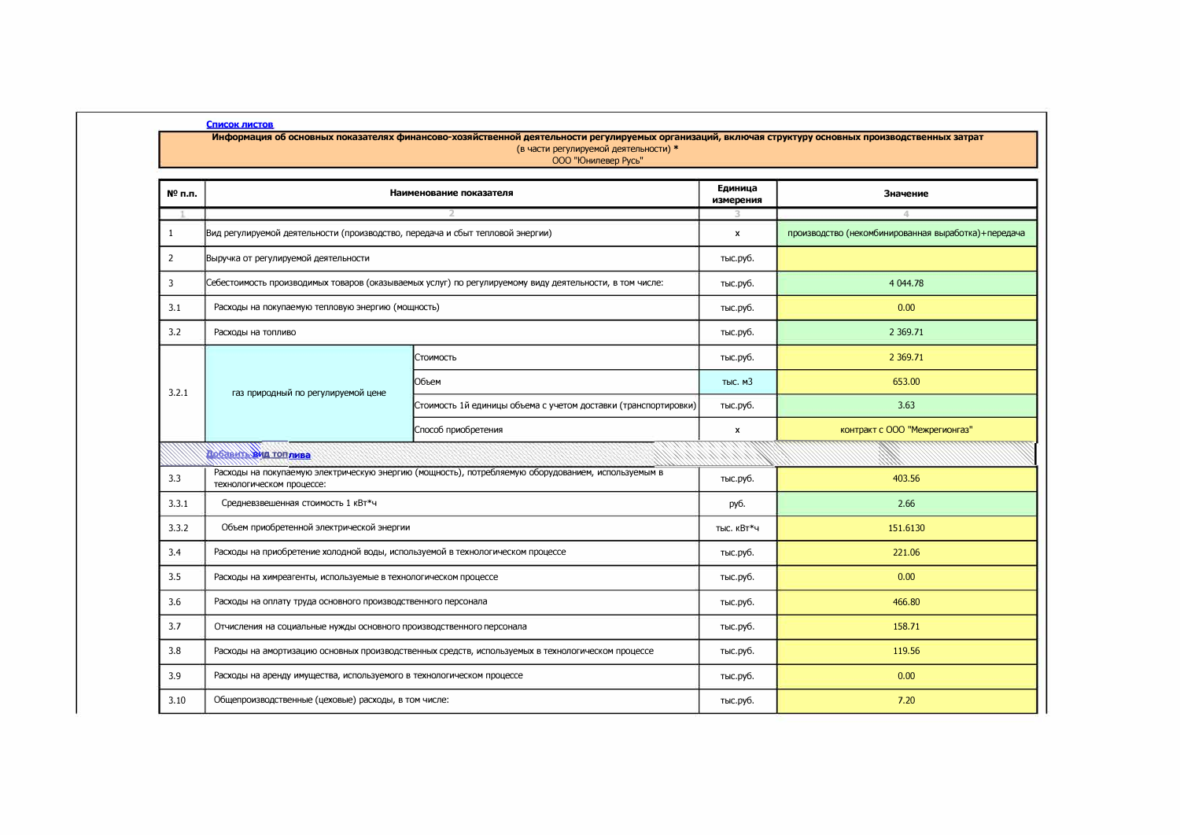## Список листов

Информация об основных показателях финансово-хозяйственной деятельности регулируемых организаций, включая структуру основных производственных затрат<br>(в части регулируемой деятельности) \*<br>ООО "Юнилевер Русь"

| № п.п. | Наименование показателя                                                                                                         |                                                                 | Единица<br>измерения | Значение                                            |
|--------|---------------------------------------------------------------------------------------------------------------------------------|-----------------------------------------------------------------|----------------------|-----------------------------------------------------|
|        |                                                                                                                                 |                                                                 |                      | Δ                                                   |
| -1     | Вид регулируемой деятельности (производство, передача и сбыт тепловой энергии)                                                  |                                                                 | $\mathsf{x}$         | производство (некомбинированная выработка)+передача |
| 2      | Выручка от регулируемой деятельности                                                                                            |                                                                 | тыс.руб.             |                                                     |
| 3      | Себестоимость производимых товаров (оказываемых услуг) по регулируемому виду деятельности, в том числе:                         |                                                                 | тыс.руб.             | 4 0 4 4 .78                                         |
| 3.1    | Расходы на покупаемую тепловую энергию (мощность)                                                                               |                                                                 | тыс.руб.             | 0.00                                                |
| 3.2    | Расходы на топливо                                                                                                              |                                                                 | тыс.руб.             | 2 3 6 9 . 7 1                                       |
|        | газ природный по регулируемой цене                                                                                              | Стоимость                                                       | тыс.руб.             | 2 3 69.71                                           |
| 3.2.1  |                                                                                                                                 | <b>ІОбъем</b>                                                   | тыс. м3              | 653.00                                              |
|        |                                                                                                                                 | Стоимость 1й единицы объема с учетом доставки (транспортировки) | тыс.руб.             | 3.63                                                |
|        |                                                                                                                                 | Способ приобретения                                             | x                    | контракт с ООО "Межрегионгаз"                       |
|        | <b>DOOR AT AN TOTTINGS</b>                                                                                                      |                                                                 | シントリング シング           |                                                     |
| 3.3    | Расходы на покупаемую электрическую энергию (мощность), потребляемую оборудованием, используемым в<br>технологическом процессе: |                                                                 | тыс.руб.             | 403.56                                              |
| 3.3.1  | Средневзвешенная стоимость 1 кВт*ч                                                                                              |                                                                 | руб.                 | 2.66                                                |
| 3.3.2  | Объем приобретенной электрической энергии                                                                                       |                                                                 | тыс. кВт*ч           | 151.6130                                            |
| 3.4    | Расходы на приобретение холодной воды, используемой в технологическом процессе                                                  |                                                                 | тыс.руб.             | 221.06                                              |
| 3.5    | Расходы на химреагенты, используемые в технологическом процессе                                                                 |                                                                 | тыс.руб.             | 0.00                                                |
| 3.6    | Расходы на оплату труда основного производственного персонала                                                                   |                                                                 | тыс.руб.             | 466.80                                              |
| 3.7    | Отчисления на социальные нужды основного производственного персонала                                                            |                                                                 | тыс.руб.             | 158.71                                              |
| 3.8    | Расходы на амортизацию основных производственных средств, используемых в технологическом процессе                               |                                                                 |                      | 119.56                                              |
| 3.9    | Расходы на аренду имущества, используемого в технологическом процессе                                                           |                                                                 | тыс.руб.             | 0.00                                                |
| 3.10   | Общепроизводственные (цеховые) расходы, в том числе:                                                                            |                                                                 | тыс.руб.             | 7.20                                                |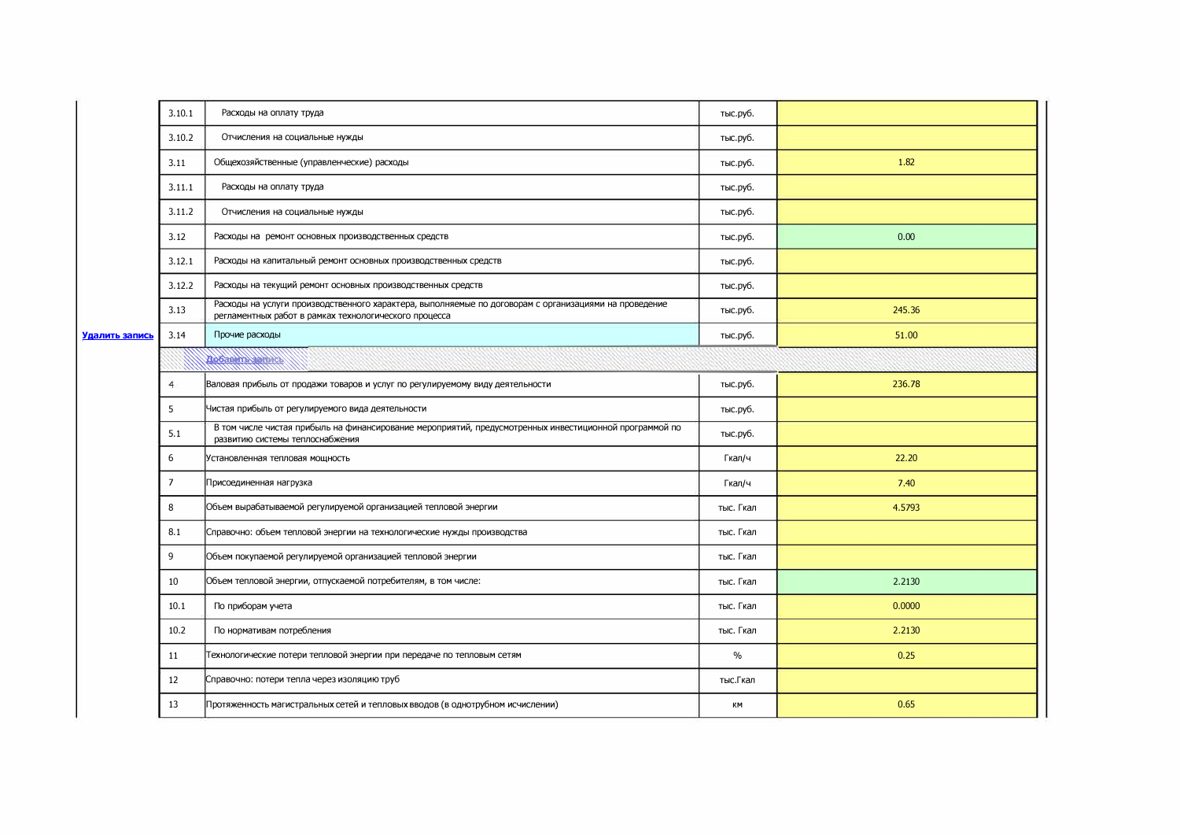|                | 3.10.1         | Расходы на оплату труда                                                                                                                                        | тыс.руб.  |        |  |  |
|----------------|----------------|----------------------------------------------------------------------------------------------------------------------------------------------------------------|-----------|--------|--|--|
|                | 3.10.2         | Отчисления на социальные нужды                                                                                                                                 | тыс.руб.  |        |  |  |
|                | 3.11           | Общехозяйственные (управленческие) расходы                                                                                                                     | тыс.руб.  | 1.82   |  |  |
|                | 3.11.1         | Расходы на оплату труда                                                                                                                                        | тыс.руб.  |        |  |  |
|                | 3.11.2         | Отчисления на социальные нужды                                                                                                                                 | тыс.руб.  |        |  |  |
|                | 3.12           | Расходы на ремонт основных производственных средств                                                                                                            | тыс.руб.  | 0.00   |  |  |
|                | 3.12.1         | Расходы на капитальный ремонт основных производственных средств                                                                                                | тыс.руб.  |        |  |  |
|                | 3.12.2         | Расходы на текущий ремонт основных производственных средств                                                                                                    | тыс.руб.  |        |  |  |
|                | 3.13           | Расходы на услуги производственного характера, выполняемые по договорам с организациями на проведение<br>регламентных работ в рамках технологического процесса | тыс.руб.  | 245.36 |  |  |
| Удалить запись | 3.14           | Прочие расходы                                                                                                                                                 | тыс.руб.  | 51.00  |  |  |
|                |                | <b>Adolar Million</b>                                                                                                                                          |           |        |  |  |
|                | $\overline{4}$ | Валовая прибыль от продажи товаров и услуг по регулируемому виду деятельности                                                                                  | тыс.руб.  | 236.78 |  |  |
|                | 5              | Чистая прибыль от регулируемого вида деятельности                                                                                                              | тыс.руб.  |        |  |  |
|                | 5.1            | В том числе чистая прибыль на финансирование мероприятий, предусмотренных инвестиционной программой по<br>развитию системы теплоснабжения                      | тыс.руб.  |        |  |  |
|                | 6              | Установленная тепловая мощность                                                                                                                                | Гкал/ч    | 22.20  |  |  |
|                | $\overline{7}$ | Присоединенная нагрузка                                                                                                                                        | Гкал/ч    | 7.40   |  |  |
|                | 8              | Объем вырабатываемой регулируемой организацией тепловой энергии                                                                                                | тыс. Гкал | 4.5793 |  |  |
|                | 8.1            | Справочно: объем тепловой энергии на технологические нужды производства                                                                                        | тыс. Гкал |        |  |  |
|                | 9              | Объем покупаемой регулируемой организацией тепловой энергии                                                                                                    | тыс. Гкал |        |  |  |
|                | 10             | Объем тепловой энергии, отпускаемой потребителям, в том числе:                                                                                                 | тыс. Гкал | 2.2130 |  |  |
|                | 10.1           | По приборам учета                                                                                                                                              | тыс. Гкал | 0.0000 |  |  |
|                | 10.2           | По нормативам потребления                                                                                                                                      | тыс. Гкал | 2.2130 |  |  |
|                | 11             | Технологические потери тепловой энергии при передаче по тепловым сетям                                                                                         | $\%$      | 0.25   |  |  |
|                | 12             | Справочно: потери тепла через изоляцию труб                                                                                                                    | тыс. Гкал |        |  |  |
|                | 13             | Протяженность магистральных сетей и тепловых вводов (в однотрубном исчислении)                                                                                 | КM        | 0.65   |  |  |